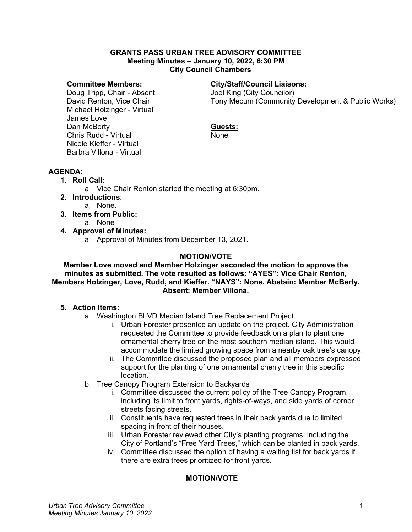#### **GRANTS PASS URBAN TREE ADVISORY COMMITTEE Meeting Minutes – January 10, 2022, 6:30 PM City Council Chambers**

#### **Committee Members:**

Doug Tripp, Chair - Absent David Renton, Vice Chair Michael Holzinger - Virtual James Love Dan McBerty Chris Rudd - Virtual Nicole Kieffer - Virtual Barbra Villona - Virtual

# **City/Staff/Council Liaisons:**

Joel King (City Councilor) Tony Mecum (Community Development & Public Works)

### **Guests:**

None

# **AGENDA:**

- **1. Roll Call:**
	- a. Vice Chair Renton started the meeting at 6:30pm.
- **2. Introductions**:
	- a. None.
- **3. Items from Public:**  a. None
	-
- **4. Approval of Minutes:**
	- a. Approval of Minutes from December 13, 2021.

## **MOTION/VOTE**

**Member Love moved and Member Holzinger seconded the motion to approve the minutes as submitted. The vote resulted as follows: "AYES": Vice Chair Renton, Members Holzinger, Love, Rudd, and Kieffer. "NAYS": None. Abstain: Member McBerty. Absent: Member Villona.**

### **5. Action Items:**

- a. Washington BLVD Median Island Tree Replacement Project
	- i. Urban Forester presented an update on the project. City Administration requested the Committee to provide feedback on a plan to plant one ornamental cherry tree on the most southern median island. This would accommodate the limited growing space from a nearby oak tree's canopy.
	- ii. The Committee discussed the proposed plan and all members expressed support for the planting of one ornamental cherry tree in this specific location.
- b. Tree Canopy Program Extension to Backyards
	- i. Committee discussed the current policy of the Tree Canopy Program, including its limit to front yards, rights-of-ways, and side yards of corner streets facing streets.
	- ii. Constituents have requested trees in their back yards due to limited spacing in front of their houses.
	- iii. Urban Forester reviewed other City's planting programs, including the City of Portland's "Free Yard Trees," which can be planted in back yards.
	- iv. Committee discussed the option of having a waiting list for back yards if there are extra trees prioritized for front yards.

# **MOTION/VOTE**